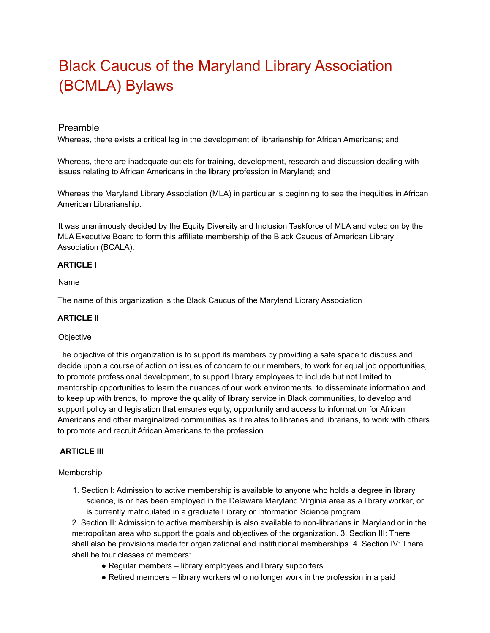# Black Caucus of the Maryland Library Association (BCMLA) Bylaws

## Preamble

Whereas, there exists a critical lag in the development of librarianship for African Americans; and

Whereas, there are inadequate outlets for training, development, research and discussion dealing with issues relating to African Americans in the library profession in Maryland; and

Whereas the Maryland Library Association (MLA) in particular is beginning to see the inequities in African American Librarianship.

It was unanimously decided by the Equity Diversity and Inclusion Taskforce of MLA and voted on by the MLA Executive Board to form this affiliate membership of the Black Caucus of American Library Association (BCALA).

## **ARTICLE I**

Name

The name of this organization is the Black Caucus of the Maryland Library Association

## **ARTICLE II**

#### **Objective**

The objective of this organization is to support its members by providing a safe space to discuss and decide upon a course of action on issues of concern to our members, to work for equal job opportunities, to promote professional development, to support library employees to include but not limited to mentorship opportunities to learn the nuances of our work environments, to disseminate information and to keep up with trends, to improve the quality of library service in Black communities, to develop and support policy and legislation that ensures equity, opportunity and access to information for African Americans and other marginalized communities as it relates to libraries and librarians, to work with others to promote and recruit African Americans to the profession.

#### **ARTICLE III**

#### Membership

1. Section I: Admission to active membership is available to anyone who holds a degree in library science, is or has been employed in the Delaware Maryland Virginia area as a library worker, or is currently matriculated in a graduate Library or Information Science program.

2. Section II: Admission to active membership is also available to non-librarians in Maryland or in the metropolitan area who support the goals and objectives of the organization. 3. Section III: There shall also be provisions made for organizational and institutional memberships. 4. Section IV: There shall be four classes of members:

- Regular members library employees and library supporters.
- Retired members library workers who no longer work in the profession in a paid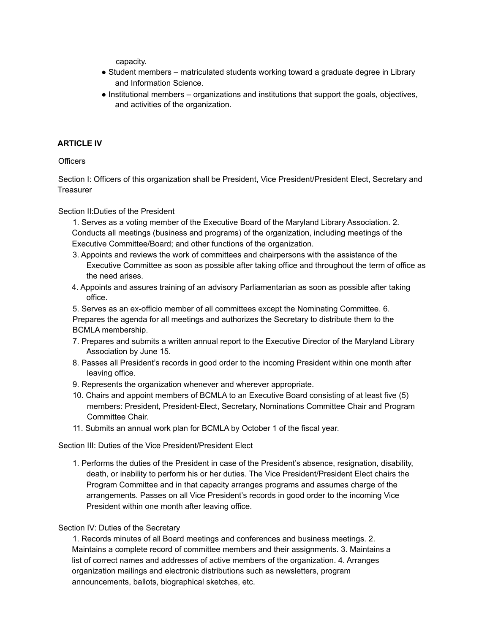capacity.

- Student members matriculated students working toward a graduate degree in Library and Information Science.
- Institutional members organizations and institutions that support the goals, objectives, and activities of the organization.

## **ARTICLE IV**

**Officers** 

Section I: Officers of this organization shall be President, Vice President/President Elect, Secretary and **Treasurer** 

Section II:Duties of the President

1. Serves as a voting member of the Executive Board of the Maryland Library Association. 2. Conducts all meetings (business and programs) of the organization, including meetings of the Executive Committee/Board; and other functions of the organization.

- 3. Appoints and reviews the work of committees and chairpersons with the assistance of the Executive Committee as soon as possible after taking office and throughout the term of office as the need arises.
- 4. Appoints and assures training of an advisory Parliamentarian as soon as possible after taking office.

5. Serves as an ex-officio member of all committees except the Nominating Committee. 6. Prepares the agenda for all meetings and authorizes the Secretary to distribute them to the BCMLA membership.

- 7. Prepares and submits a written annual report to the Executive Director of the Maryland Library Association by June 15.
- 8. Passes all President's records in good order to the incoming President within one month after leaving office.
- 9. Represents the organization whenever and wherever appropriate.
- 10. Chairs and appoint members of BCMLA to an Executive Board consisting of at least five (5) members: President, President-Elect, Secretary, Nominations Committee Chair and Program Committee Chair.
- 11. Submits an annual work plan for BCMLA by October 1 of the fiscal year.

Section III: Duties of the Vice President/President Elect

1. Performs the duties of the President in case of the President's absence, resignation, disability, death, or inability to perform his or her duties. The Vice President/President Elect chairs the Program Committee and in that capacity arranges programs and assumes charge of the arrangements. Passes on all Vice President's records in good order to the incoming Vice President within one month after leaving office.

Section IV: Duties of the Secretary

1. Records minutes of all Board meetings and conferences and business meetings. 2. Maintains a complete record of committee members and their assignments. 3. Maintains a list of correct names and addresses of active members of the organization. 4. Arranges organization mailings and electronic distributions such as newsletters, program announcements, ballots, biographical sketches, etc.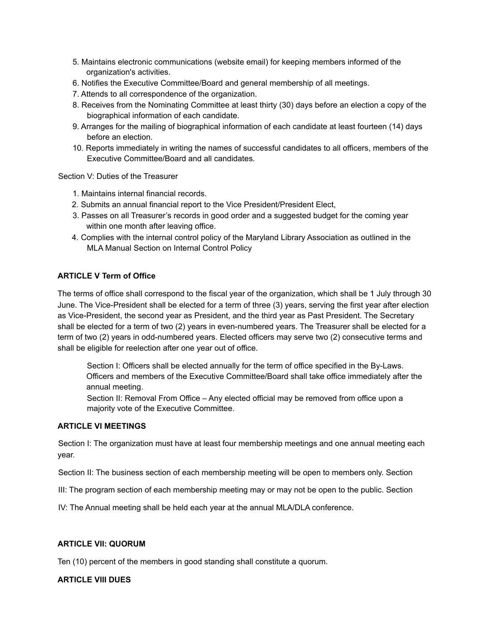- 5. Maintains electronic communications (website email) for keeping members informed of the organization's activities.
- 6. Notifies the Executive Committee/Board and general membership of all meetings.
- 7. Attends to all correspondence of the organization.
- 8. Receives from the Nominating Committee at least thirty (30) days before an election a copy of the biographical information of each candidate.
- 9. Arranges for the mailing of biographical information of each candidate at least fourteen (14) days before an election.
- 10. Reports immediately in writing the names of successful candidates to all officers, members of the Executive Committee/Board and all candidates.

Section V: Duties of the Treasurer

- 1. Maintains internal financial records.
- 2. Submits an annual financial report to the Vice President/President Elect,
- 3. Passes on all Treasurer's records in good order and a suggested budget for the coming year within one month after leaving office.
- 4. Complies with the internal control policy of the Maryland Library Association as outlined in the MLA Manual Section on Internal Control Policy

## **ARTICLE V Term of Office**

The terms of office shall correspond to the fiscal year of the organization, which shall be 1 July through 30 June. The Vice-President shall be elected for a term of three (3) years, serving the first year after election as Vice-President, the second year as President, and the third year as Past President. The Secretary shall be elected for a term of two (2) years in even-numbered years. The Treasurer shall be elected for a term of two (2) years in odd-numbered years. Elected officers may serve two (2) consecutive terms and shall be eligible for reelection after one year out of office.

Section I: Officers shall be elected annually for the term of office specified in the By-Laws. Officers and members of the Executive Committee/Board shall take office immediately after the annual meeting.

Section II: Removal From Office – Any elected official may be removed from office upon a majority vote of the Executive Committee.

## **ARTICLE VI MEETINGS**

Section I: The organization must have at least four membership meetings and one annual meeting each year.

Section II: The business section of each membership meeting will be open to members only. Section

III: The program section of each membership meeting may or may not be open to the public. Section

IV: The Annual meeting shall be held each year at the annual MLA/DLA conference.

#### **ARTICLE VII: QUORUM**

Ten (10) percent of the members in good standing shall constitute a quorum.

#### **ARTICLE VIII DUES**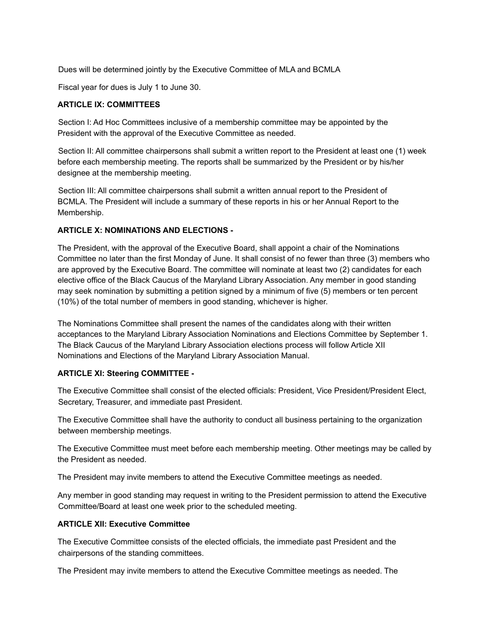Dues will be determined jointly by the Executive Committee of MLA and BCMLA

Fiscal year for dues is July 1 to June 30.

## **ARTICLE IX: COMMITTEES**

Section I: Ad Hoc Committees inclusive of a membership committee may be appointed by the President with the approval of the Executive Committee as needed.

Section II: All committee chairpersons shall submit a written report to the President at least one (1) week before each membership meeting. The reports shall be summarized by the President or by his/her designee at the membership meeting.

Section III: All committee chairpersons shall submit a written annual report to the President of BCMLA. The President will include a summary of these reports in his or her Annual Report to the Membership.

### **ARTICLE X: NOMINATIONS AND ELECTIONS -**

The President, with the approval of the Executive Board, shall appoint a chair of the Nominations Committee no later than the first Monday of June. It shall consist of no fewer than three (3) members who are approved by the Executive Board. The committee will nominate at least two (2) candidates for each elective office of the Black Caucus of the Maryland Library Association. Any member in good standing may seek nomination by submitting a petition signed by a minimum of five (5) members or ten percent (10%) of the total number of members in good standing, whichever is higher.

The Nominations Committee shall present the names of the candidates along with their written acceptances to the Maryland Library Association Nominations and Elections Committee by September 1. The Black Caucus of the Maryland Library Association elections process will follow Article XII Nominations and Elections of the Maryland Library Association Manual.

## **ARTICLE XI: Steering COMMITTEE -**

The Executive Committee shall consist of the elected officials: President, Vice President/President Elect, Secretary, Treasurer, and immediate past President.

The Executive Committee shall have the authority to conduct all business pertaining to the organization between membership meetings.

The Executive Committee must meet before each membership meeting. Other meetings may be called by the President as needed.

The President may invite members to attend the Executive Committee meetings as needed.

Any member in good standing may request in writing to the President permission to attend the Executive Committee/Board at least one week prior to the scheduled meeting.

## **ARTICLE XII: Executive Committee**

The Executive Committee consists of the elected officials, the immediate past President and the chairpersons of the standing committees.

The President may invite members to attend the Executive Committee meetings as needed. The